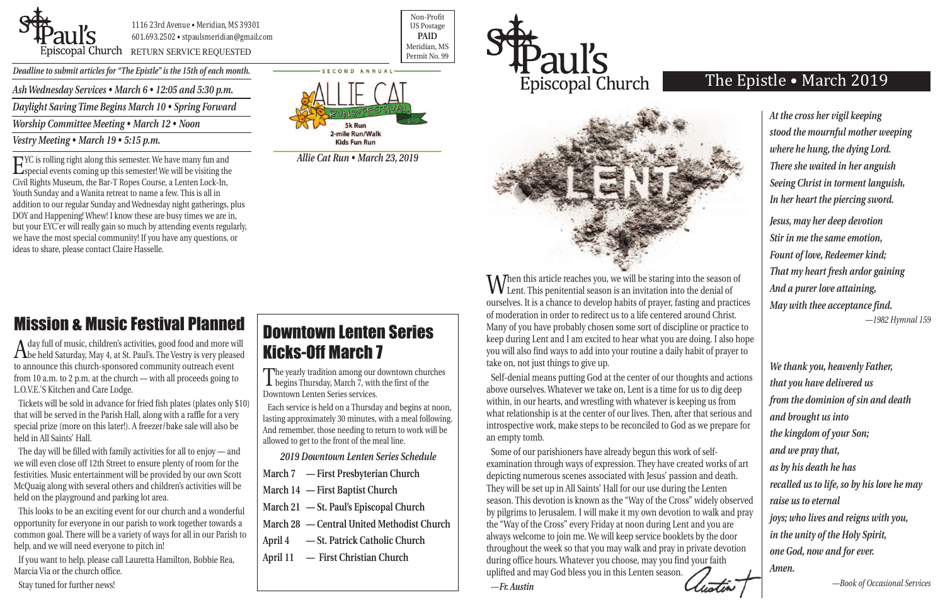

1116 23rd Avenue • Meridian, MS 39301 601.693.2502 • stpaulsmeridian@gmail.com

POSCOPAL Church RETURN SERVICE REQUESTED PERMIT NO. 99

Non-Profit US Postage **PAID** Meridian, MS

*Deadline to submit articles for "The Epistle" is the 15th of each month.* 

## The Epistle • March 2019

# Mission & Music Festival Planned

A day full of music, children's activities, good food and more will be held Saturday, May 4, at St. Paul's. The Vestry is very pleased to announce this church-sponsored community outreach event from 10 a.m. to 2 p.m. at the church — with all proceeds going to L.O.V.E.'S Kitchen and Care Lodge.

Tickets will be sold in advance for fried fish plates (plates only \$10) that will be served in the Parish Hall, along with a raffle for a very special prize (more on this later!). A freezer/bake sale will also be held in All Saints' Hall.

The day will be filled with family activities for all to enjoy — and we will even close off 12th Street to ensure plenty of room for the festivities. Music entertainment will be provided by our own Scott McQuaig along with several others and children's activities will be held on the playground and parking lot area.

When this article reaches you, we will be staring into the season of Lent. This penitential season is an invitation into the denial of ourselves. It is a chance to develop habits of prayer, fasting and practices of moderation in order to redirect us to a life centered around Christ. Many of you have probably chosen some sort of discipline or practice to keep during Lent and I am excited to hear what you are doing. I also hope you will also find ways to add into your routine a daily habit of prayer to take on, not just things to give up.

This looks to be an exciting event for our church and a wonderful opportunity for everyone in our parish to work together towards a common goal. There will be a variety of ways for all in our Parish to help, and we will need everyone to pitch in!

If you want to help, please call Lauretta Hamilton, Bobbie Rea, Marcia Via or the church office.

Stay tuned for further news!

*Ash Wednesday Services • March 6 • 12:05 and 5:30 p.m.*

*Daylight Saving Time Begins March 10 • Spring Forward*

*Worship Committee Meeting • March 12 • Noon*

*Vestry Meeting • March 19 • 5:15 p.m.*

Self-denial means putting God at the center of our thoughts and actions above ourselves. Whatever we take on, Lent is a time for us to dig deep within, in our hearts, and wrestling with whatever is keeping us from what relationship is at the center of our lives. Then, after that serious and introspective work, make steps to be reconciled to God as we prepare for an empty tomb.

Some of our parishioners have already begun this work of selfexamination through ways of expression. They have created works of art depicting numerous scenes associated with Jesus' passion and death. They will be set up in All Saints' Hall for our use during the Lenten season. This devotion is known as the "Way of the Cross" widely observed by pilgrims to Jerusalem. I will make it my own devotion to walk and pray the "Way of the Cross" every Friday at noon during Lent and you are always welcome to join me. We will keep service booklets by the door throughout the week so that you may walk and pray in private devotion during office hours. Whatever you choose, may you find your faith uplifted and may God bless you in this Lenten season.



*We thank you, heavenly Father, that you have delivered us from the dominion of sin and death and brought us into the kingdom of your Son; and we pray that, as by his death he has recalled us to life, so by his love he may raise us to eternal joys; who lives and reigns with you, in the unity of the Holy Spirit, one God, now and for ever. Amen.*

*—Book of Occasional Services*

*At the cross her vigil keeping stood the mournful mother weeping where he hung, the dying Lord. There she waited in her anguish Seeing Christ in torment languish, In her heart the piercing sword.*

*Jesus, may her deep devotion Stir in me the same emotion, Fount of love, Redeemer kind; That my heart fresh ardor gaining And a purer love attaining, May with thee acceptance find. —1982 Hymnal 159*

# Downtown Lenten Series Kicks-Off March 7

The yearly tradition among our downtown churches begins Thursday, March 7, with the first of the Downtown Lenten Series services.

Each service is held on a Thursday and begins at noon, lasting approximately 30 minutes, with a meal following. And remember, those needing to return to work will be allowed to get to the front of the meal line.

*2019 Downtown Lenten Series Schedule*

- **March 7 First Presbyterian Church**
- **March 14 First Baptist Church**
- **March 21 St. Paul's Episcopal Church**
- **March 28 Central United Methodist Church**
- **April 4 St. Patrick Catholic Church**
- **April 11 First Christian Church**

EYC is rolling right along this semester. We have many fun and special events coming up this semester! We will be visiting the Civil Rights Museum, the Bar-T Ropes Course, a Lenten Lock-In, Youth Sunday and a Wanita retreat to name a few. This is all in addition to our regular Sunday and Wednesday night gatherings, plus DOY and Happening! Whew! I know these are busy times we are in, but your EYC'er will really gain so much by attending events regularly, we have the most special community! If you have any questions, or ideas to share, please contact Claire Hasselle.



*Allie Cat Run • March 23, 2019*